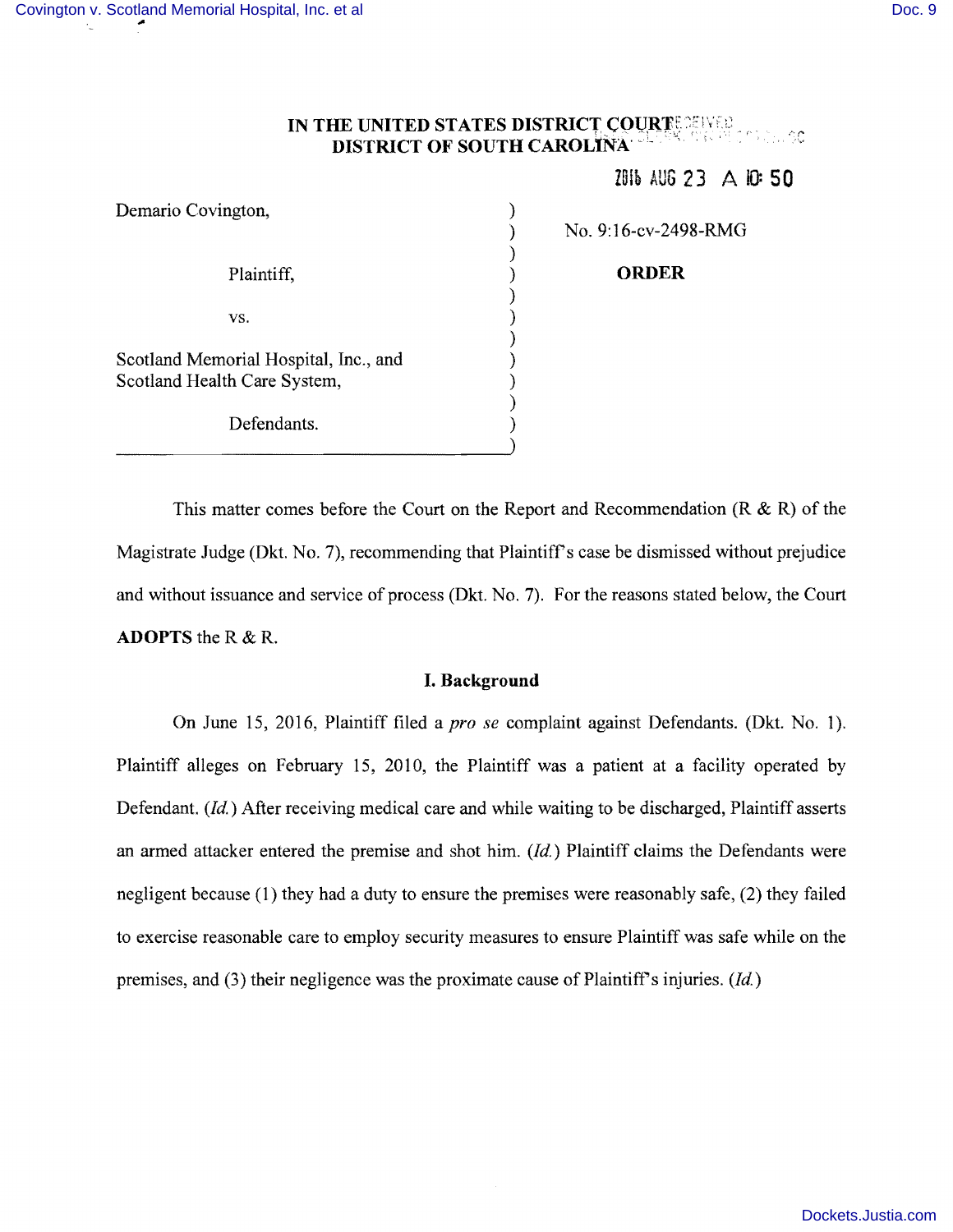#### **IN THE UNITED STATES DISTRICT COURTESERVED** *PSC-USC* **DISTRICT OF SOUTH CAROLINA'**

)

)

)

)

Z9ib AUG 23 A II): **50** 

Demario Covington, (1988) Plaintiff, **ORDER ORDER**  $\mathbf{v}\mathbf{s}$ ,  $\qquad \qquad$  ) Scotland Memorial Hospital, Inc., and ) Scotland Health Care System, ) Defendants.

) No.9: 16-cv-2498-RMG

This matter comes before the Court on the Report and Recommendation  $(R & R)$  of the Magistrate Judge (Dkt. No. 7), recommending that Plaintiff's case be dismissed without prejudice and without issuance and service of process (Dkt. No.7). For the reasons stated below, the Court **ADOPTS** the R & R.

# **I. Background**

On June 15, 2016, Plaintiff filed a *pro se* complaint against Defendants. (Dkt. No.1). Plaintiff alleges on February 15, 2010, the Plaintiff was a patient at a facility operated by Defendant.  $(id)$  After receiving medical care and while waiting to be discharged, Plaintiff asserts an armed attacker entered the premise and shot him. *(Id.)* Plaintiff claims the Defendants were negligent because (l) they had a duty to ensure the premises were reasonably safe, (2) they failed to exercise reasonable care to employ security measures to ensure Plaintiff was safe while on the premises, and (3) their negligence was the proximate cause of Plaintiff's injuries.  $(id)$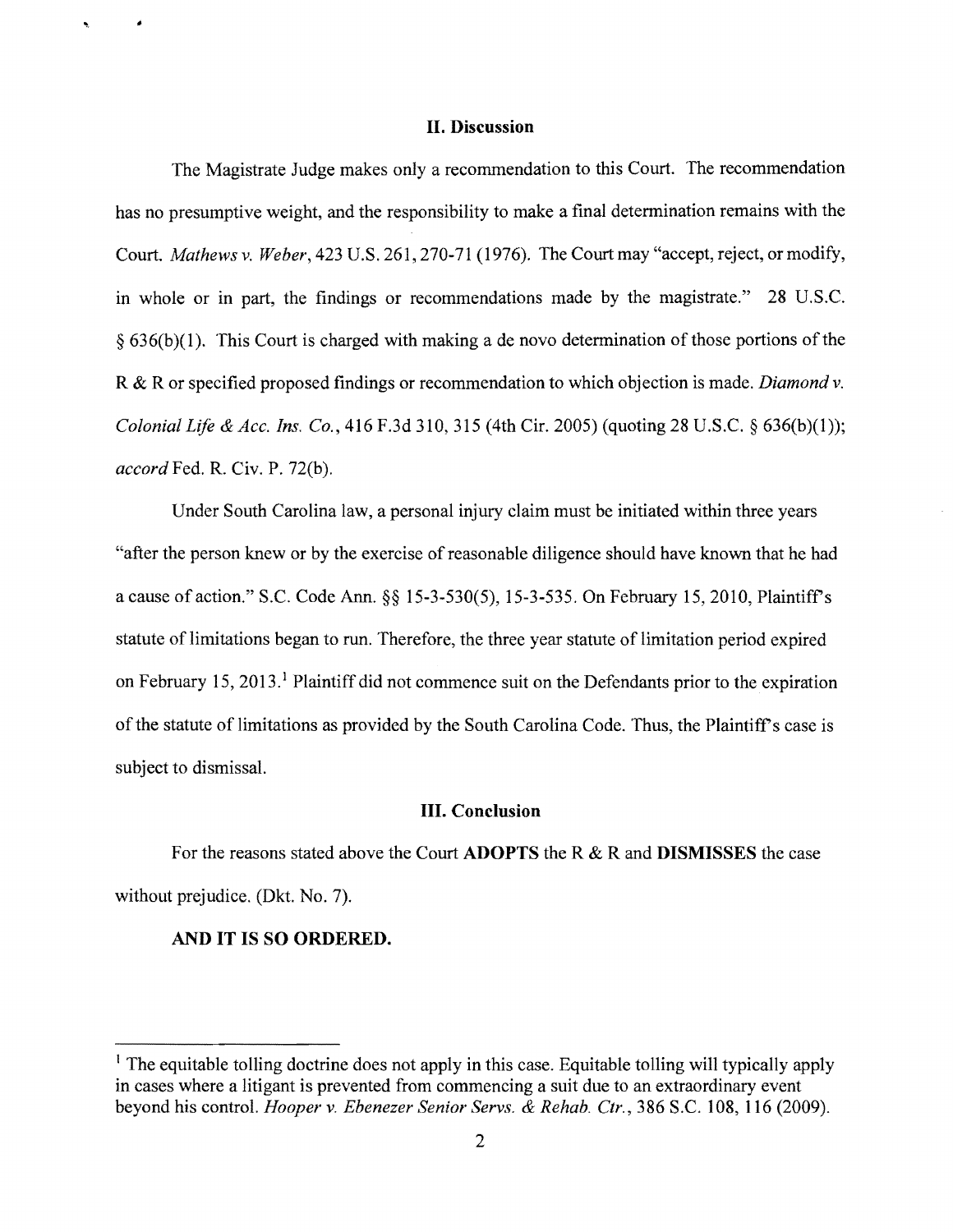#### **II. Discussion**

The Magistrate Judge makes only a recommendation to this Court. The recommendation has no presumptive weight, and the responsibility to make a final determination remains with the Court. *Mathews* v. *Weber,* 423 U.S. 261,270-71 (1976). The Court may "accept, reject, or modify, in whole or in part, the findings or recommendations made by the magistrate." 28 U.S.C.  $§ 636(b)(1)$ . This Court is charged with making a de novo determination of those portions of the R & R or specified proposed findings or recommendation to which objection is made. *Diamond* v. *Colonial Life* & *Ace. Ins. Co.,* 416 F.3d 3lO, 315 (4th Cir. 2005) (quoting 28 U.S.C. § 636(b)(1»; *accord* Fed. R. Civ. P. 72(b).

Under South Carolina law, a personal injury claim must be initiated within three years "after the person knew or by the exercise of reasonable diligence should have known that he had a cause of action." S.C. Code Ann. §§ 15-3-530(5), 15-3-535. On February 15, 20lO, Plaintiff's statute of limitations began to run. Therefore, the three year statute of limitation period expired on February 15, 2013.<sup>1</sup> Plaintiff did not commence suit on the Defendants prior to the expiration of the statute of limitations as provided by the South Carolina Code. Thus, the Plaintiff's case is subject to dismissal.

### **III. Conclusion**

For the reasons stated above the Court **ADOPTS** the R & R and **DISMISSES** the case without prejudice. (Dkt. No. 7).

## **AND IT IS SO ORDERED.**

 $\bullet$ 

<sup>&</sup>lt;sup>1</sup> The equitable tolling doctrine does not apply in this case. Equitable tolling will typically apply in cases where a litigant is prevented from commencing a suit due to an extraordinary event beyond his control. *Hooper* v. *Ebenezer Senior Servs.* & *Rehab. Ctr.,* 386 S.c. 108, 116 (2009).